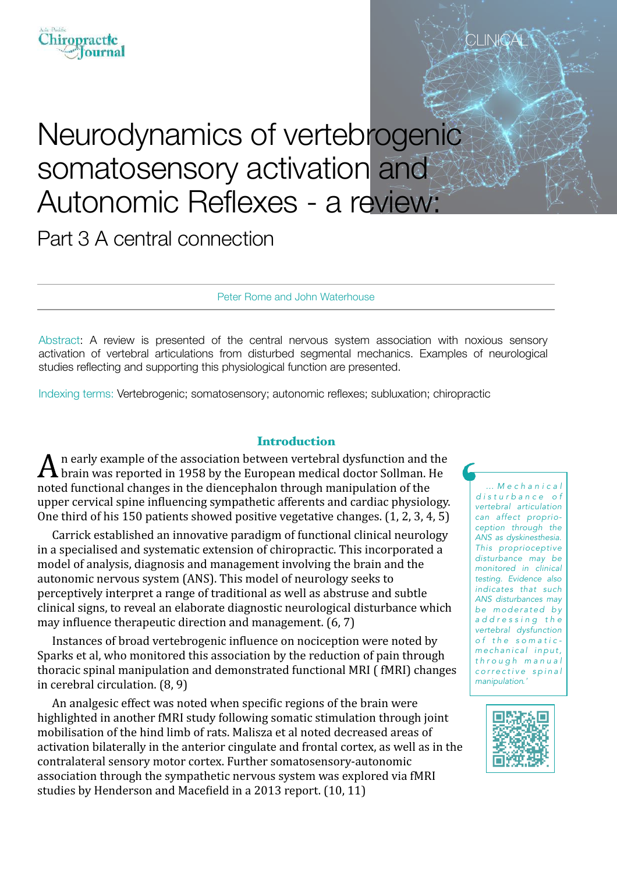# Neurodynamics of vertebrogenic somatosensory activation and Autonomic Reflexes - a review:

Part 3 A central connection

Peter Rome and John Waterhouse

Abstract: A review is presented of the central nervous system association with noxious sensory activation of vertebral articulations from disturbed segmental mechanics. Examples of neurological studies reflecting and supporting this physiological function are presented.

Indexing terms: Vertebrogenic; somatosensory; autonomic reflexes; subluxation; chiropractic

#### Introduction

n early example of the association between vertebral dysfunction and the brain was reported in 1958 by the European medical doctor Sollman. He noted functional changes in the diencephalon through manipulation of the upper cervical spine influencing sympathetic afferents and cardiac physiology. One third of his  $150$  patients showed positive vegetative changes.  $(1, 2, 3, 4, 5)$ 

Carrick established an innovative paradigm of functional clinical neurology in a specialised and systematic extension of chiropractic. This incorporated a model of analysis, diagnosis and management involving the brain and the autonomic nervous system (ANS). This model of neurology seeks to perceptively interpret a range of traditional as well as abstruse and subtle clinical signs, to reveal an elaborate diagnostic neurological disturbance which may influence therapeutic direction and management.  $(6, 7)$ 

Instances of broad vertebrogenic influence on nociception were noted by Sparks et al, who monitored this association by the reduction of pain through thoracic spinal manipulation and demonstrated functional MRI ( fMRI) changes in cerebral circulation.  $(8, 9)$ 

An analgesic effect was noted when specific regions of the brain were highlighted in another fMRI study following somatic stimulation through joint mobilisation of the hind limb of rats. Malisza et al noted decreased areas of activation bilaterally in the anterior cingulate and frontal cortex, as well as in the contralateral sensory motor cortex. Further somatosensory-autonomic association through the sympathetic nervous system was explored via fMRI studies by Henderson and Macefield in a 2013 report. (10, 11)

*… M e c h a n i c a l d i s t u r b a n c e o f vertebral articulation can affect proprioception through the ANS as dyskinesthesia. This proprioceptive disturbance may be monitored in clinical testing. Evidence also indicates that such ANS disturbances may*  be moderated by *a d d r e s s i n g t h e vertebral dysfunction o f t h e s o m a t i c*   $mechanical input,$ *t h r o u g h m a n u a l c o r r e c t i v e s p i n a l manipulation.'* 

CLIN<del>I</del>CA



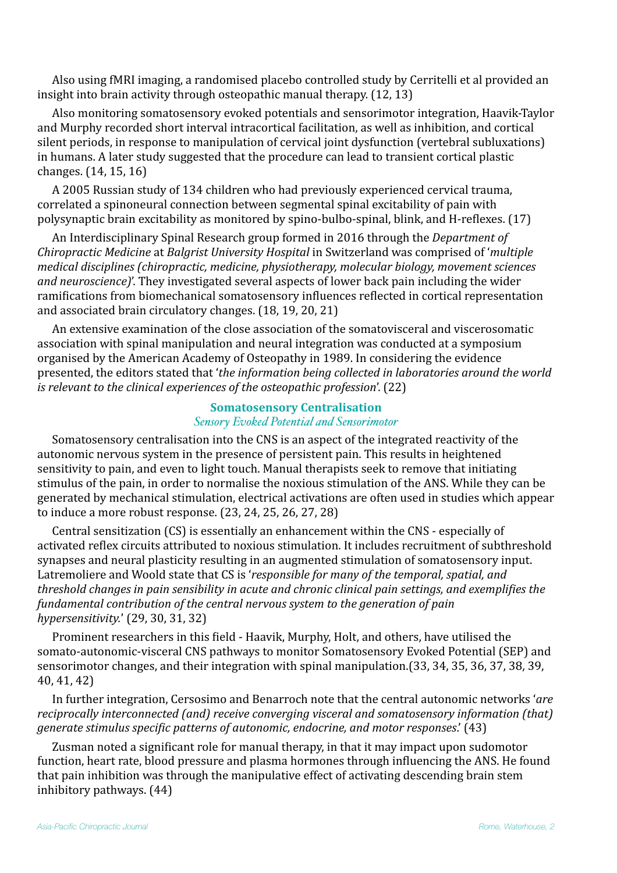Also using fMRI imaging, a randomised placebo controlled study by Cerritelli et al provided an insight into brain activity through osteopathic manual therapy.  $(12, 13)$ 

Also monitoring somatosensory evoked potentials and sensorimotor integration, Haavik-Taylor and Murphy recorded short interval intracortical facilitation, as well as inhibition, and cortical silent periods, in response to manipulation of cervical joint dysfunction (vertebral subluxations) in humans. A later study suggested that the procedure can lead to transient cortical plastic changes.  $(14, 15, 16)$ 

A 2005 Russian study of 134 children who had previously experienced cervical trauma, correlated a spinoneural connection between segmental spinal excitability of pain with polysynaptic brain excitability as monitored by spino-bulbo-spinal, blink, and H-reflexes. (17)

An Interdisciplinary Spinal Research group formed in 2016 through the *Department of Chiropractic Medicine* at *Balgrist University Hospital* in Switzerland was comprised of '*multiple medical disciplines (chiropractic, medicine, physiotherapy, molecular biology, movement sciences and neuroscience)*'. They investigated several aspects of lower back pain including the wider ramifications from biomechanical somatosensory influences reflected in cortical representation and associated brain circulatory changes. (18, 19, 20, 21)

An extensive examination of the close association of the somatovisceral and viscerosomatic association with spinal manipulation and neural integration was conducted at a symposium organised by the American Academy of Osteopathy in 1989. In considering the evidence presented, the editors stated that '*the information being collected in laboratories around the world is relevant to the clinical experiences of the osteopathic profession'.* (22)

## **Somatosensory Centralisation** *Sensory Evoked Potential and Sensorimotor*

Somatosensory centralisation into the CNS is an aspect of the integrated reactivity of the autonomic nervous system in the presence of persistent pain. This results in heightened sensitivity to pain, and even to light touch. Manual therapists seek to remove that initiating stimulus of the pain, in order to normalise the noxious stimulation of the ANS. While they can be generated by mechanical stimulation, electrical activations are often used in studies which appear to induce a more robust response.  $(23, 24, 25, 26, 27, 28)$ 

Central sensitization (CS) is essentially an enhancement within the CNS - especially of activated reflex circuits attributed to noxious stimulation. It includes recruitment of subthreshold synapses and neural plasticity resulting in an augmented stimulation of somatosensory input. Latremoliere and Woold state that CS is '*responsible for many of the temporal, spatial, and* threshold changes in pain sensibility in acute and chronic clinical pain settings, and exemplifies the *fundamental contribution of the central nervous system to the generation of pain hypersensitivity.*' (29, 30, 31, 32)

Prominent researchers in this field - Haavik, Murphy, Holt, and others, have utilised the somato-autonomic-visceral CNS pathways to monitor Somatosensory Evoked Potential (SEP) and sensorimotor changes, and their integration with spinal manipulation.(33, 34, 35, 36, 37, 38, 39, 40, 41, 42)

In further integration, Cersosimo and Benarroch note that the central autonomic networks '*are reciprocally interconnected (and) receive converging visceral and somatosensory information (that) generate stimulus specific patterns of autonomic, endocrine, and motor responses.*' (43)

Zusman noted a significant role for manual therapy, in that it may impact upon sudomotor function, heart rate, blood pressure and plasma hormones through influencing the ANS. He found that pain inhibition was through the manipulative effect of activating descending brain stem inhibitory pathways.  $(44)$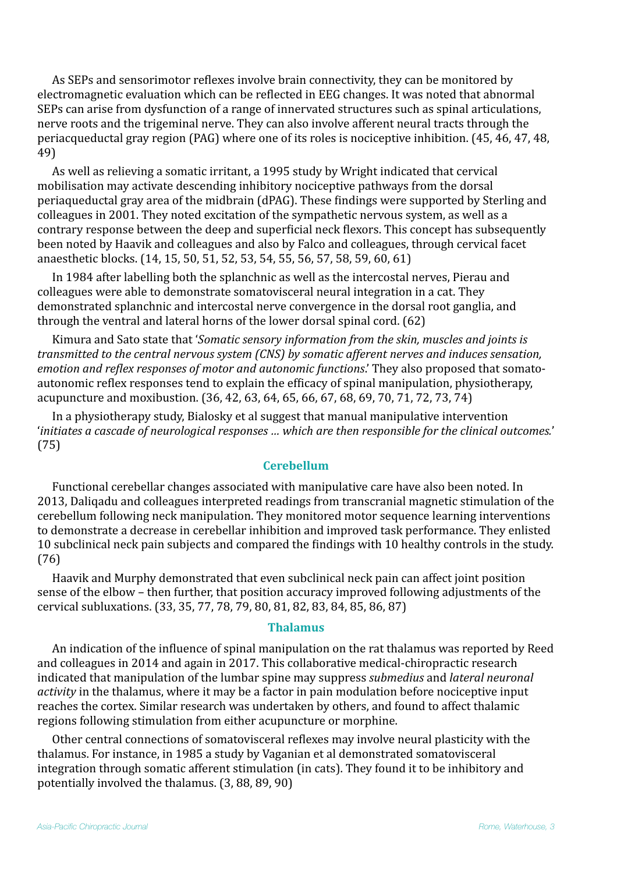As SEPs and sensorimotor reflexes involve brain connectivity, they can be monitored by electromagnetic evaluation which can be reflected in EEG changes. It was noted that abnormal SEPs can arise from dysfunction of a range of innervated structures such as spinal articulations, nerve roots and the trigeminal nerve. They can also involve afferent neural tracts through the periacqueductal gray region (PAG) where one of its roles is nociceptive inhibition. (45, 46, 47, 48, 49)

As well as relieving a somatic irritant, a 1995 study by Wright indicated that cervical mobilisation may activate descending inhibitory nociceptive pathways from the dorsal periaqueductal gray area of the midbrain (dPAG). These findings were supported by Sterling and colleagues in 2001. They noted excitation of the sympathetic nervous system, as well as a contrary response between the deep and superficial neck flexors. This concept has subsequently been noted by Haavik and colleagues and also by Falco and colleagues, through cervical facet anaesthetic blocks. (14, 15, 50, 51, 52, 53, 54, 55, 56, 57, 58, 59, 60, 61)

In 1984 after labelling both the splanchnic as well as the intercostal nerves, Pierau and colleagues were able to demonstrate somatovisceral neural integration in a cat. They demonstrated splanchnic and intercostal nerve convergence in the dorsal root ganglia, and through the ventral and lateral horns of the lower dorsal spinal cord.  $(62)$ 

Kimura and Sato state that '*Somatic sensory information from the skin, muscles and joints is transmitted to the central nervous system (CNS) by somatic afferent nerves and induces sensation, emotion and reflex responses of motor and autonomic functions*.' They also proposed that somatoautonomic reflex responses tend to explain the efficacy of spinal manipulation, physiotherapy, acupuncture and moxibustion. (36, 42, 63, 64, 65, 66, 67, 68, 69, 70, 71, 72, 73, 74)

In a physiotherapy study, Bialosky et al suggest that manual manipulative intervention '*initiates a cascade of neurological responses ...* which are then responsible for the clinical outcomes.' (75)

## **Cerebellum**

Functional cerebellar changes associated with manipulative care have also been noted. In 2013, Daliqadu and colleagues interpreted readings from transcranial magnetic stimulation of the cerebellum following neck manipulation. They monitored motor sequence learning interventions to demonstrate a decrease in cerebellar inhibition and improved task performance. They enlisted 10 subclinical neck pain subjects and compared the findings with 10 healthy controls in the study. (76)

Haavik and Murphy demonstrated that even subclinical neck pain can affect joint position sense of the elbow – then further, that position accuracy improved following adjustments of the cervical subluxations. (33, 35, 77, 78, 79, 80, 81, 82, 83, 84, 85, 86, 87)

#### **Thalamus**

An indication of the influence of spinal manipulation on the rat thalamus was reported by Reed and colleagues in 2014 and again in 2017. This collaborative medical-chiropractic research indicated that manipulation of the lumbar spine may suppress *submedius* and *lateral neuronal activity* in the thalamus, where it may be a factor in pain modulation before nociceptive input reaches the cortex. Similar research was undertaken by others, and found to affect thalamic regions following stimulation from either acupuncture or morphine.

Other central connections of somatovisceral reflexes may involve neural plasticity with the thalamus. For instance, in 1985 a study by Vaganian et al demonstrated somatovisceral integration through somatic afferent stimulation (in cats). They found it to be inhibitory and potentially involved the thalamus.  $(3, 88, 89, 90)$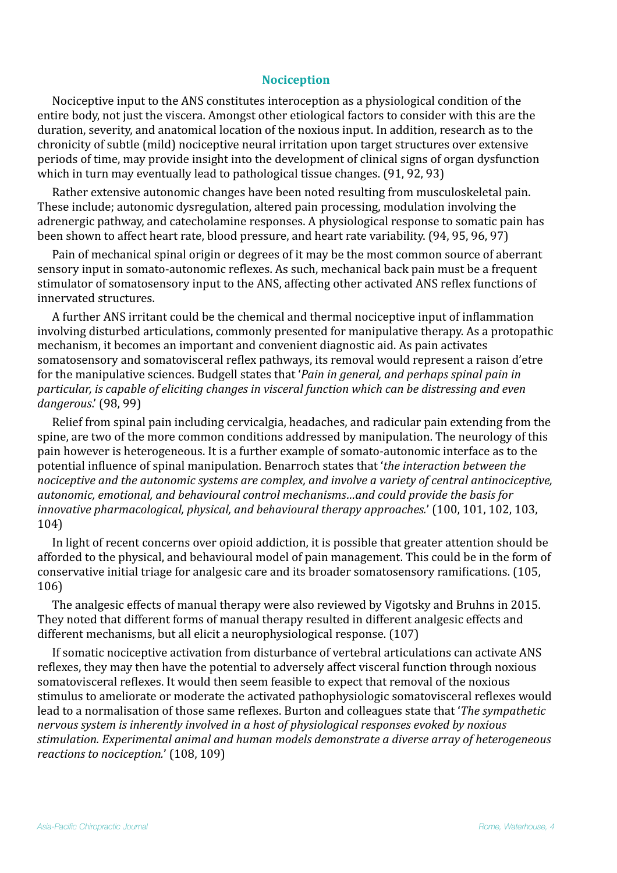## **Nociception**

Nociceptive input to the ANS constitutes interoception as a physiological condition of the entire body, not just the viscera. Amongst other etiological factors to consider with this are the duration, severity, and anatomical location of the noxious input. In addition, research as to the chronicity of subtle (mild) nociceptive neural irritation upon target structures over extensive periods of time, may provide insight into the development of clinical signs of organ dysfunction which in turn may eventually lead to pathological tissue changes.  $(91, 92, 93)$ 

Rather extensive autonomic changes have been noted resulting from musculoskeletal pain. These include; autonomic dysregulation, altered pain processing, modulation involving the adrenergic pathway, and catecholamine responses. A physiological response to somatic pain has been shown to affect heart rate, blood pressure, and heart rate variability. (94, 95, 96, 97)

Pain of mechanical spinal origin or degrees of it may be the most common source of aberrant sensory input in somato-autonomic reflexes. As such, mechanical back pain must be a frequent stimulator of somatosensory input to the ANS, affecting other activated ANS reflex functions of innervated structures.

A further ANS irritant could be the chemical and thermal nociceptive input of inflammation involving disturbed articulations, commonly presented for manipulative therapy. As a protopathic mechanism, it becomes an important and convenient diagnostic aid. As pain activates somatosensory and somatovisceral reflex pathways, its removal would represent a raison d'etre for the manipulative sciences. Budgell states that '*Pain in general, and perhaps spinal pain in particular, is capable of eliciting changes in visceral function which can be distressing and even dangerous*.' (98, 99)

Relief from spinal pain including cervicalgia, headaches, and radicular pain extending from the spine, are two of the more common conditions addressed by manipulation. The neurology of this pain however is heterogeneous. It is a further example of somato-autonomic interface as to the potential influence of spinal manipulation. Benarroch states that *'the interaction between the* nociceptive and the autonomic systems are complex, and involve a variety of central antinociceptive, autonomic, emotional, and behavioural control mechanisms...and could provide the basis for *innovative pharmacological, physical, and behavioural therapy approaches.'* (100, 101, 102, 103, 104)

In light of recent concerns over opioid addiction, it is possible that greater attention should be afforded to the physical, and behavioural model of pain management. This could be in the form of conservative initial triage for analgesic care and its broader somatosensory ramifications. (105, 106)

The analgesic effects of manual therapy were also reviewed by Vigotsky and Bruhns in 2015. They noted that different forms of manual therapy resulted in different analgesic effects and different mechanisms, but all elicit a neurophysiological response. (107)

If somatic nociceptive activation from disturbance of vertebral articulations can activate ANS reflexes, they may then have the potential to adversely affect visceral function through noxious somatovisceral reflexes. It would then seem feasible to expect that removal of the noxious stimulus to ameliorate or moderate the activated pathophysiologic somatovisceral reflexes would lead to a normalisation of those same reflexes. Burton and colleagues state that *The sympathetic nervous system is inherently involved in a host of physiological responses evoked by noxious* stimulation. Experimental animal and human models demonstrate a diverse array of heterogeneous *reactions to nociception.'* (108, 109)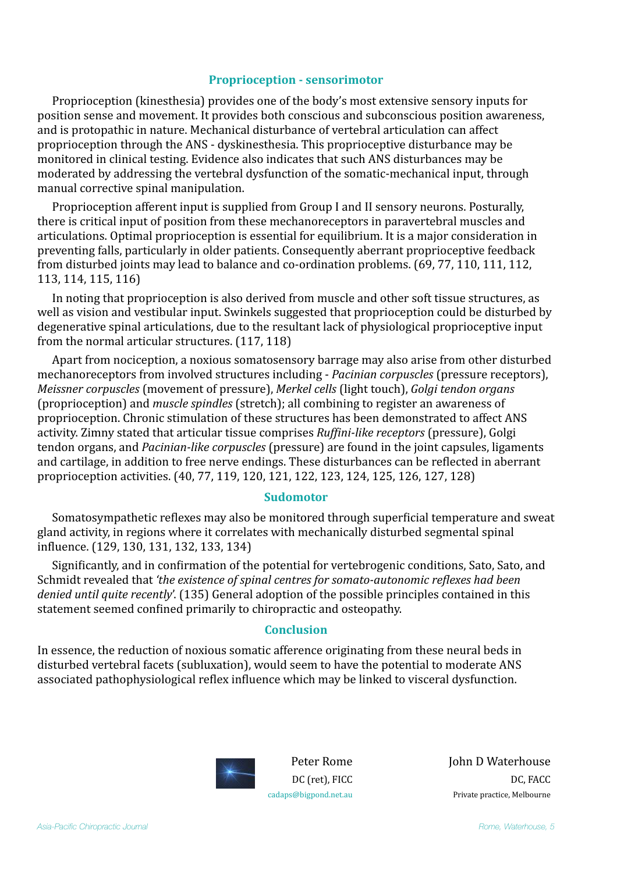#### **Proprioception - sensorimotor**

Proprioception (kinesthesia) provides one of the body's most extensive sensory inputs for position sense and movement. It provides both conscious and subconscious position awareness, and is protopathic in nature. Mechanical disturbance of vertebral articulation can affect proprioception through the ANS - dyskinesthesia. This proprioceptive disturbance may be monitored in clinical testing. Evidence also indicates that such ANS disturbances may be moderated by addressing the vertebral dysfunction of the somatic-mechanical input, through manual corrective spinal manipulation.

Proprioception afferent input is supplied from Group I and II sensory neurons. Posturally, there is critical input of position from these mechanoreceptors in paravertebral muscles and articulations. Optimal proprioception is essential for equilibrium. It is a major consideration in preventing falls, particularly in older patients. Consequently aberrant proprioceptive feedback from disturbed joints may lead to balance and co-ordination problems. (69, 77, 110, 111, 112, 113, 114, 115, 116)

In noting that proprioception is also derived from muscle and other soft tissue structures, as well as vision and vestibular input. Swinkels suggested that proprioception could be disturbed by degenerative spinal articulations, due to the resultant lack of physiological proprioceptive input from the normal articular structures.  $(117, 118)$ 

Apart from nociception, a noxious somatosensory barrage may also arise from other disturbed mechanoreceptors from involved structures including - *Pacinian corpuscles* (pressure receptors), *Meissner corpuscles* (movement of pressure), *Merkel cells* (light touch), *Golgi tendon organs* (proprioception) and *muscle spindles* (stretch); all combining to register an awareness of proprioception. Chronic stimulation of these structures has been demonstrated to affect ANS activity. Zimny stated that articular tissue comprises *Ruffini-like receptors* (pressure), Golgi tendon organs, and *Pacinian-like corpuscles* (pressure) are found in the joint capsules, ligaments and cartilage, in addition to free nerve endings. These disturbances can be reflected in aberrant proprioception activities. (40, 77, 119, 120, 121, 122, 123, 124, 125, 126, 127, 128)

#### **Sudomotor**

Somatosympathetic reflexes may also be monitored through superficial temperature and sweat gland activity, in regions where it correlates with mechanically disturbed segmental spinal influence. (129, 130, 131, 132, 133, 134)

Significantly, and in confirmation of the potential for vertebrogenic conditions, Sato, Sato, and Schmidt revealed that 'the existence of spinal centres for somato-autonomic reflexes had been *denied until quite recently'.* (135) General adoption of the possible principles contained in this statement seemed confined primarily to chiropractic and osteopathy.

## **Conclusion**

In essence, the reduction of noxious somatic afference originating from these neural beds in disturbed vertebral facets (subluxation), would seem to have the potential to moderate ANS associated pathophysiological reflex influence which may be linked to visceral dysfunction.



Peter Rome DC (ret), FICC [cadaps@bigpond.net.au](mailto:cadaps@bigpond.net.au)

**John D Waterhouse** DC, FACC Private practice, Melbourne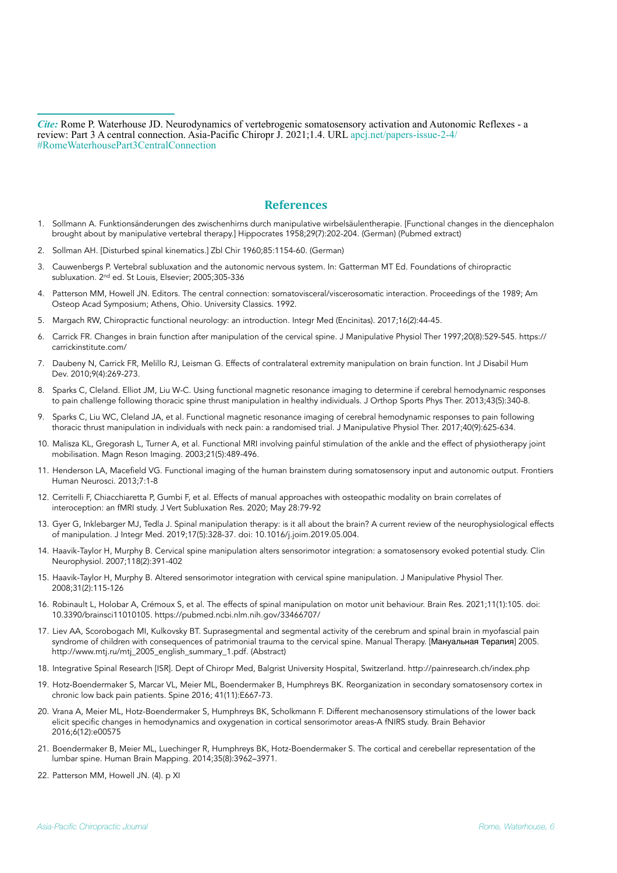*Cite:* Rome P. Waterhouse JD. Neurodynamics of vertebrogenic somatosensory activation and Autonomic Reflexes - a review: Part 3 A central connection. Asia-Pacific Chiropr J. 2021;1.4. URL [apcj.net/papers-issue-2-4/](http://apcj.net/papers-issue-2-4/#RomeWaterhousePart3CentralConnection) [#RomeWaterhousePart3CentralConnection](http://apcj.net/papers-issue-2-4/#RomeWaterhousePart3CentralConnection)

#### **References**

- 1. Sollmann A. Funktionsänderungen des zwischenhirns durch manipulative wirbelsäulentherapie. [Functional changes in the diencephalon brought about by manipulative vertebral therapy.] Hippocrates 1958;29(7):202-204. (German) (Pubmed extract)
- 2. Sollman AH. [Disturbed spinal kinematics.] Zbl Chir 1960;85:1154-60. (German)
- 3. Cauwenbergs P. Vertebral subluxation and the autonomic nervous system. In: Gatterman MT Ed. Foundations of chiropractic subluxation. 2nd ed. St Louis, Elsevier; 2005;305-336
- 4. Patterson MM, Howell JN. Editors. The central connection: somatovisceral/viscerosomatic interaction. Proceedings of the 1989; Am Osteop Acad Symposium; Athens, Ohio. University Classics. 1992.
- 5. Margach RW, Chiropractic functional neurology: an introduction. Integr Med (Encinitas). 2017;16(2):44-45.
- 6. Carrick FR. Changes in brain function after manipulation of the cervical spine. J Manipulative Physiol Ther 1997;20(8):529-545. https:// carrickinstitute.com/
- 7. Daubeny N, Carrick FR, Melillo RJ, Leisman G. Effects of contralateral extremity manipulation on brain function. Int J Disabil Hum Dev. 2010;9(4):269-273.
- 8. Sparks C, Cleland. Elliot JM, Liu W-C. Using functional magnetic resonance imaging to determine if cerebral hemodynamic responses to pain challenge following thoracic spine thrust manipulation in healthy individuals. J Orthop Sports Phys Ther. 2013;43(5):340-8.
- 9. Sparks C, Liu WC, Cleland JA, et al. Functional magnetic resonance imaging of cerebral hemodynamic responses to pain following thoracic thrust manipulation in individuals with neck pain: a randomised trial. J Manipulative Physiol Ther. 2017;40(9):625-634.
- 10. Malisza KL, Gregorash L, Turner A, et al. Functional MRI involving painful stimulation of the ankle and the effect of physiotherapy joint mobilisation. Magn Reson Imaging. 2003;21(5):489-496.
- 11. Henderson LA, Macefield VG. Functional imaging of the human brainstem during somatosensory input and autonomic output. Frontiers Human Neurosci. 2013;7:1-8
- 12. Cerritelli F, Chiacchiaretta P, Gumbi F, et al. Effects of manual approaches with osteopathic modality on brain correlates of interoception: an fMRI study. J Vert Subluxation Res. 2020; May 28:79-92
- 13. Gyer G, Inklebarger MJ, Tedla J. Spinal manipulation therapy: is it all about the brain? A current review of the neurophysiological effects of manipulation. J Integr Med. 2019;17(5):328-37. doi: 10.1016/j.joim.2019.05.004.
- 14. Haavik-Taylor H, Murphy B. Cervical spine manipulation alters sensorimotor integration: a somatosensory evoked potential study. Clin Neurophysiol. 2007;118(2):391-402
- 15. Haavik-Taylor H, Murphy B. Altered sensorimotor integration with cervical spine manipulation. J Manipulative Physiol Ther. 2008;31(2):115-126
- 16. Robinault L, Holobar A, Crémoux S, et al. The effects of spinal manipulation on motor unit behaviour. Brain Res. 2021;11(1):105. doi: 10.3390/brainsci11010105.<https://pubmed.ncbi.nlm.nih.gov/33466707/>
- 17. Liev AA, Scorobogach MI, Kulkovsky BT. Suprasegmental and segmental activity of the cerebrum and spinal brain in myofascial pain syndrome of children with consequences of patrimonial trauma to the cervical spine. Manual Therapy. [Мануальная Терапия] 2005. [http://www.mtj.ru/mtj\\_2005\\_english\\_summary\\_1.pdf](http://www.mtj.ru/mtj_2005_english_summary_1.pdf). (Abstract)
- 18. Integrative Spinal Research [ISR]. Dept of Chiropr Med, Balgrist University Hospital, Switzerland. http://painresearch.ch/index.php
- 19. Hotz-Boendermaker S, Marcar VL, Meier ML, Boendermaker B, Humphreys BK. Reorganization in secondary somatosensory cortex in chronic low back pain patients. Spine 2016; 41(11):E667-73.
- 20. Vrana A, Meier ML, Hotz-Boendermaker S, Humphreys BK, Scholkmann F. Different mechanosensory stimulations of the lower back elicit specific changes in hemodynamics and oxygenation in cortical sensorimotor areas-A fNIRS study. Brain Behavior 2016;6(12):e00575
- 21. Boendermaker B, Meier ML, Luechinger R, Humphreys BK, Hotz-Boendermaker S. The cortical and cerebellar representation of the lumbar spine. Human Brain Mapping. 2014;35(8):3962–3971.
- 22. Patterson MM, Howell JN. (4). p XI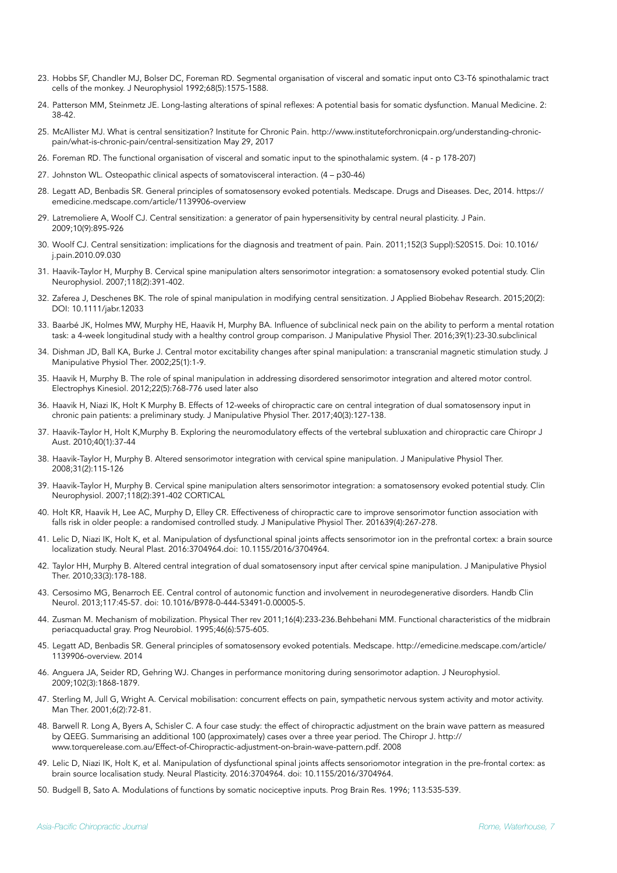- 23. Hobbs SF, Chandler MJ, Bolser DC, Foreman RD. Segmental organisation of visceral and somatic input onto C3-T6 spinothalamic tract cells of the monkey. J Neurophysiol 1992;68(5):1575-1588.
- 24. Patterson MM, [Steinmetz JE](https://neurotree.org/beta/publications.php?pid=1559). Long-lasting alterations of spinal reflexes: A potential basis for somatic dysfunction. Manual Medicine. 2: 38-42.
- 25. McAllister MJ. What is central sensitization? Institute for Chronic Pain. http://www.instituteforchronicpain.org/understanding-chronicpain/what-is-chronic-pain/central-sensitization May 29, 2017
- 26. Foreman RD. The functional organisation of visceral and somatic input to the spinothalamic system. (4 p 178-207)
- 27. Johnston WL. Osteopathic clinical aspects of somatovisceral interaction. (4 p30-46)
- 28. Legatt AD, Benbadis SR. General principles of somatosensory evoked potentials. Medscape. Drugs and Diseases. Dec, 2014. [https://](https://emedicine.medscape.com/article/1139906-overview) [emedicine.medscape.com/article/1139906-overview](https://emedicine.medscape.com/article/1139906-overview)
- 29. Latremoliere A, Woolf CJ. Central sensitization: a generator of pain hypersensitivity by central neural plasticity. J Pain. 2009;10(9):895-926
- 30. Woolf CJ. Central sensitization: implications for the diagnosis and treatment of pain. Pain. 2011;152(3 Suppl):S20S15. Doi: 10.1016/ j.pain.2010.09.030
- 31. Haavik-Taylor H, Murphy B. Cervical spine manipulation alters sensorimotor integration: a somatosensory evoked potential study. Clin Neurophysiol. 2007;118(2):391-402.
- 32. Zaferea J, Deschenes BK. The role of spinal manipulation in modifying central sensitization. J Applied Biobehav Research. 2015;20(2): DOI: 10.1111/jabr.12033
- 33. Baarbé JK, Holmes MW, Murphy HE, Haavik H, Murphy BA. Influence of subclinical neck pain on the ability to perform a mental rotation task: a 4-week longitudinal study with a healthy control group comparison. J Manipulative Physiol Ther. 2016;39(1):23-30.subclinical
- 34. Dishman JD, Ball KA, Burke J. Central motor excitability changes after spinal manipulation: a transcranial magnetic stimulation study. J Manipulative Physiol Ther. 2002;25(1):1-9.
- 35. Haavik H, Murphy B. The role of spinal manipulation in addressing disordered sensorimotor integration and altered motor control. Electrophys Kinesiol. 2012;22(5):768-776 used later also
- 36. Haavik H, Niazi IK, Holt K Murphy B. Effects of 12-weeks of chiropractic care on central integration of dual somatosensory input in chronic pain patients: a preliminary study. J Manipulative Physiol Ther. 2017;40(3):127-138.
- 37. Haavik-Taylor H, Holt K,Murphy B. Exploring the neuromodulatory effects of the vertebral subluxation and chiropractic care Chiropr J Aust. 2010;40(1):37-44
- 38. Haavik-Taylor H, Murphy B. Altered sensorimotor integration with cervical spine manipulation. J Manipulative Physiol Ther. 2008;31(2):115-126
- 39. Haavik-Taylor H, Murphy B. Cervical spine manipulation alters sensorimotor integration: a somatosensory evoked potential study. Clin Neurophysiol. 2007;118(2):391-402 CORTICAL
- 40. Holt KR, Haavik H, Lee AC, Murphy D, Elley CR. Effectiveness of chiropractic care to improve sensorimotor function association with falls risk in older people: a randomised controlled study. J Manipulative Physiol Ther. 201639(4):267-278.
- 41. Lelic D, Niazi IK, Holt K, et al. Manipulation of dysfunctional spinal joints affects sensorimotor ion in the prefrontal cortex: a brain source localization study. Neural Plast. 2016:3704964.doi: 10.1155/2016/3704964.
- 42. Taylor HH, Murphy B. Altered central integration of dual somatosensory input after cervical spine manipulation. J Manipulative Physiol Ther. 2010;33(3):178-188.
- 43. Cersosimo MG, Benarroch EE. Central control of autonomic function and involvement in neurodegenerative disorders. Handb Clin Neurol. 2013;117:45-57. doi: 10.1016/B978-0-444-53491-0.00005-5.
- 44. Zusman M. Mechanism of mobilization. Physical Ther rev 2011;16(4):233-236.Behbehani MM. Functional characteristics of the midbrain periacquaductal gray. Prog Neurobiol. 1995;46(6):575-605.
- 45. Legatt AD, Benbadis SR. General principles of somatosensory evoked potentials. Medscape. [http://emedicine.medscape.com/article/](http://emedicine.medscape.com/article/1139906-overview) [1139906-overview](http://emedicine.medscape.com/article/1139906-overview). 2014
- 46. Anguera JA, Seider RD, Gehring WJ. Changes in performance monitoring during sensorimotor adaption. J Neurophysiol. 2009;102(3):1868-1879.
- 47. Sterling M, Jull G, Wright A. Cervical mobilisation: concurrent effects on pain, sympathetic nervous system activity and motor activity. Man Ther. 2001;6(2):72-81.
- 48. Barwell R. Long A, Byers A, Schisler C. A four case study: the effect of chiropractic adjustment on the brain wave pattern as measured by QEEG. Summarising an additional 100 (approximately) cases over a three year period. The Chiropr J. [http://](http://www.torquerelease.com.au/Effect-of-Chiropractic-adjustment-on-brain-wave-pattern.pdf) [www.torquerelease.com.au/Effect-of-Chiropractic-adjustment-on-brain-wave-pattern.pdf.](http://www.torquerelease.com.au/Effect-of-Chiropractic-adjustment-on-brain-wave-pattern.pdf) 2008
- 49. Lelic D, Niazi IK, Holt K, et al. Manipulation of dysfunctional spinal joints affects sensoriomotor integration in the pre-frontal cortex: as brain source localisation study. Neural Plasticity. 2016:3704964. doi: 10.1155/2016/3704964.
- 50. Budgell B, Sato A. Modulations of functions by somatic nociceptive inputs. Prog Brain Res. 1996; 113:535-539.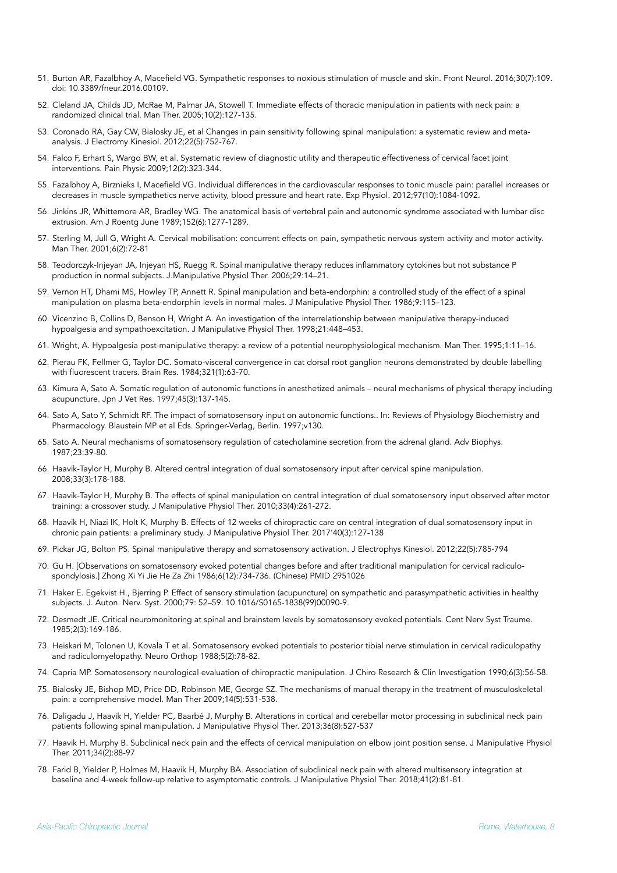- 51. Burton AR, Fazalbhoy A, Macefield VG. Sympathetic responses to noxious stimulation of muscle and skin. Front Neurol. 2016;30(7):109. doi: 10.3389/fneur.2016.00109.
- 52. Cleland JA, Childs JD, McRae M, Palmar JA, Stowell T. Immediate effects of thoracic manipulation in patients with neck pain: a randomized clinical trial. Man Ther. 2005;10(2):127-135.
- 53. Coronado RA, Gay CW, Bialosky JE, et al Changes in pain sensitivity following spinal manipulation: a systematic review and metaanalysis. J Electromy Kinesiol. 2012;22(5):752-767.
- 54. Falco F, Erhart S, Wargo BW, et al. Systematic review of diagnostic utility and therapeutic effectiveness of cervical facet joint interventions. Pain Physic 2009;12(2):323-344.
- 55. Fazalbhoy A, Birznieks I, Macefield VG. Individual differences in the cardiovascular responses to tonic muscle pain: parallel increases or decreases in muscle sympathetics nerve activity, blood pressure and heart rate. Exp Physiol. 2012;97(10):1084-1092.
- 56. Jinkins JR, Whittemore AR, Bradley WG. The anatomical basis of vertebral pain and autonomic syndrome associated with lumbar disc extrusion. Am J Roentg June 1989;152(6):1277-1289.
- 57. Sterling M, Jull G, Wright A. Cervical mobilisation: concurrent effects on pain, sympathetic nervous system activity and motor activity. Man Ther. 2001;6(2):72-81
- 58. Teodorczyk-Injeyan JA, Injeyan HS, Ruegg R. Spinal manipulative therapy reduces inflammatory cytokines but not substance P production in normal subjects. J.Manipulative Physiol Ther. 2006;29:14–21.
- 59. Vernon HT, Dhami MS, Howley TP, Annett R. Spinal manipulation and beta-endorphin: a controlled study of the effect of a spinal manipulation on plasma beta-endorphin levels in normal males. J Manipulative Physiol Ther. 1986;9:115–123.
- 60. Vicenzino B, Collins D, Benson H, Wright A. An investigation of the interrelationship between manipulative therapy-induced hypoalgesia and sympathoexcitation. J Manipulative Physiol Ther. 1998;21:448–453.
- 61. Wright, A. Hypoalgesia post-manipulative therapy: a review of a potential neurophysiological mechanism. Man Ther. 1995;1:11–16.
- 62. Pierau FK, Fellmer G, Taylor DC. Somato-visceral convergence in cat dorsal root ganglion neurons demonstrated by double labelling with fluorescent tracers. Brain Res. 1984;321(1):63-70.
- 63. Kimura A, Sato A. Somatic regulation of autonomic functions in anesthetized animals neural mechanisms of physical therapy including acupuncture. Jpn J Vet Res. 1997;45(3):137-145.
- 64. Sato A, Sato Y, Schmidt RF. The impact of somatosensory input on autonomic functions.. In: Reviews of Physiology Biochemistry and Pharmacology. Blaustein MP et al Eds. Springer-Verlag, Berlin. 1997;v130.
- 65. Sato A. Neural mechanisms of somatosensory regulation of catecholamine secretion from the adrenal gland. Adv Biophys. 1987;23:39-80.
- 66. Haavik-Taylor H, Murphy B. Altered central integration of dual somatosensory input after cervical spine manipulation. 2008;33(3):178-188.
- 67. Haavik-Taylor H, Murphy B. The effects of spinal manipulation on central integration of dual somatosensory input observed after motor training: a crossover study. J Manipulative Physiol Ther. 2010;33(4):261-272.
- 68. Haavik H, Niazi IK, Holt K, Murphy B. Effects of 12 weeks of chiropractic care on central integration of dual somatosensory input in chronic pain patients: a preliminary study. J Manipulative Physiol Ther. 2017'40(3):127-138
- 69. Pickar JG, Bolton PS. Spinal manipulative therapy and somatosensory activation. J Electrophys Kinesiol. 2012;22(5):785-794
- 70. Gu H. [Observations on somatosensory evoked potential changes before and after traditional manipulation for cervical radiculospondylosis.] Zhong Xi Yi Jie He Za Zhi 1986;6(12):734-736. (Chinese) PMID 2951026
- 71. Haker E. Egekvist H., Bjerring P. Effect of sensory stimulation (acupuncture) on sympathetic and parasympathetic activities in healthy subjects. J. Auton. Nerv. Syst. 2000;79: 52–59. 10.1016/S0165-1838(99)00090-9.
- 72. Desmedt JE. Critical neuromonitoring at spinal and brainstem levels by somatosensory evoked potentials. Cent Nerv Syst Traume. 1985;2(3):169-186.
- 73. Heiskari M, Tolonen U, Kovala T et al. Somatosensory evoked potentials to posterior tibial nerve stimulation in cervical radiculopathy and radiculomyelopathy. Neuro Orthop 1988;5(2):78-82.
- 74. Capria MP. Somatosensory neurological evaluation of chiropractic manipulation. J Chiro Research & Clin Investigation 1990;6(3):56-58.
- 75. Bialosky JE, Bishop MD, Price DD, Robinson ME, George SZ. The mechanisms of manual therapy in the treatment of musculoskeletal pain: a comprehensive model. Man Ther 2009;14(5):531-538.
- 76. Daligadu J, Haavik H, Yielder PC, Baarbé J, Murphy B. Alterations in cortical and cerebellar motor processing in subclinical neck pain patients following spinal manipulation. J Manipulative Physiol Ther. 2013;36(8):527-537
- 77. Haavik H. Murphy B. Subclinical neck pain and the effects of cervical manipulation on elbow joint position sense. J Manipulative Physiol Ther. 2011;34(2):88-97
- 78. Farid B, Yielder P, Holmes M, Haavik H, Murphy BA. Association of subclinical neck pain with altered multisensory integration at baseline and 4-week follow-up relative to asymptomatic controls. J Manipulative Physiol Ther. 2018;41(2):81-81.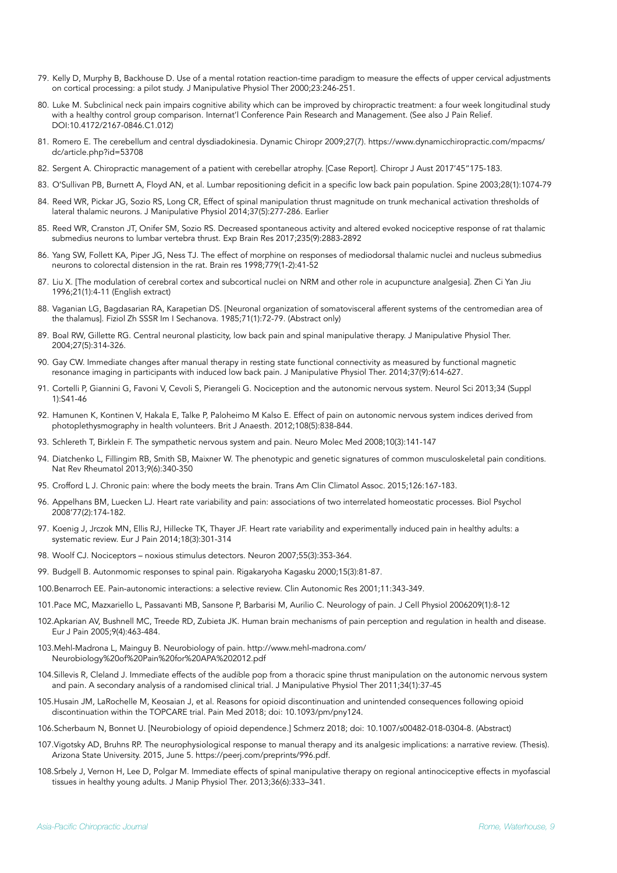- 79. Kelly D, Murphy B, Backhouse D. Use of a mental rotation reaction-time paradigm to measure the effects of upper cervical adjustments on cortical processing: a pilot study. J Manipulative Physiol Ther 2000;23:246-251.
- 80. Luke M. Subclinical neck pain impairs cognitive ability which can be improved by chiropractic treatment: a four week longitudinal study with a healthy control group comparison. Internat'l Conference Pain Research and Management. (See also J Pain Relief. DOI[:10.4172/2167-0846.C1.012](https://doi.org/10.4172/2167-0846.C1.012))
- 81. Romero E. The cerebellum and central dysdiadokinesia. Dynamic Chiropr 2009;27(7). https://www.dynamicchiropractic.com/mpacms/ dc/article.php?id=53708
- 82. Sergent A. Chiropractic management of a patient with cerebellar atrophy. [Case Report]. Chiropr J Aust 2017'45"175-183.
- 83. O'Sullivan PB, Burnett A, Floyd AN, et al. Lumbar repositioning deficit in a specific low back pain population. Spine 2003;28(1):1074-79
- 84. Reed WR, Pickar JG, Sozio RS, Long CR, Effect of spinal manipulation thrust magnitude on trunk mechanical activation thresholds of lateral thalamic neurons. J Manipulative Physiol 2014;37(5):277-286. Earlier
- 85. Reed WR, Cranston JT, Onifer SM, Sozio RS. Decreased spontaneous activity and altered evoked nociceptive response of rat thalamic submedius neurons to lumbar vertebra thrust. Exp Brain Res 2017;235(9):2883-2892
- 86. Yang SW, Follett KA, Piper JG, Ness TJ. The effect of morphine on responses of mediodorsal thalamic nuclei and nucleus submedius neurons to colorectal distension in the rat. Brain res 1998;779(1-2):41-52
- 87. Liu X. [The modulation of cerebral cortex and subcortical nuclei on NRM and other role in acupuncture analgesia]. Zhen Ci Yan Jiu 1996;21(1):4-11 (English extract)
- 88. Vaganian LG, Bagdasarian RA, Karapetian DS. [Neuronal organization of somatovisceral afferent systems of the centromedian area of the thalamus]. Fiziol Zh SSSR Im I Sechanova. 1985;71(1):72-79. (Abstract only)
- 89. Boal RW, Gillette RG. Central neuronal plasticity, low back pain and spinal manipulative therapy. J Manipulative Physiol Ther. 2004;27(5):314-326.
- 90. Gay CW. Immediate changes after manual therapy in resting state functional connectivity as measured by functional magnetic resonance imaging in participants with induced low back pain. J Manipulative Physiol Ther. 2014;37(9):614-627.
- 91. Cortelli P, Giannini G, Favoni V, Cevoli S, Pierangeli G. Nociception and the autonomic nervous system. Neurol Sci 2013;34 (Suppl 1):S41-46
- 92. Hamunen K, Kontinen V, Hakala E, Talke P, Paloheimo M Kalso E. Effect of pain on autonomic nervous system indices derived from photoplethysmography in health volunteers. Brit J Anaesth. 2012;108(5):838-844.
- 93. Schlereth T, Birklein F. The sympathetic nervous system and pain. Neuro Molec Med 2008;10(3):141-147
- 94. Diatchenko L, Fillingim RB, Smith SB, Maixner W. The phenotypic and genetic signatures of common musculoskeletal pain conditions. Nat Rev Rheumatol 2013;9(6):340-350
- 95. Crofford L J. Chronic pain: where the body meets the brain. Trans Am Clin Climatol Assoc. 2015;126:167-183.
- 96. Appelhans BM, Luecken LJ. Heart rate variability and pain: associations of two interrelated homeostatic processes. Biol Psychol 2008'77(2):174-182.
- 97. Koenig J, Jrczok MN, Ellis RJ, Hillecke TK, Thayer JF. Heart rate variability and experimentally induced pain in healthy adults: a systematic review. Eur J Pain 2014;18(3):301-314
- 98. Woolf CJ. Nociceptors noxious stimulus detectors. Neuron 2007;55(3):353-364.
- 99. Budgell B. Autonmomic responses to spinal pain. Rigakaryoha Kagasku 2000;15(3):81-87.
- 100.Benarroch EE. Pain-autonomic interactions: a selective review. Clin Autonomic Res 2001;11:343-349.
- 101.Pace MC, Mazxariello L, Passavanti MB, Sansone P, Barbarisi M, Aurilio C. Neurology of pain. J Cell Physiol 2006209(1):8-12
- 102.Apkarian AV, Bushnell MC, Treede RD, Zubieta JK. Human brain mechanisms of pain perception and regulation in health and disease. Eur J Pain 2005;9(4):463-484.
- 103[.Mehl-Madrona L, Mainguy B. Neurobiology of pain. http://www.mehl-madrona.com/](http://www.mehl-madrona.com/Neurobiology%2520of%2520Pain%2520for%2520APA%25202012.pdf) [Neurobiology%20of%20Pain%20for%20APA%202012.pdf](http://www.mehl-madrona.com/Neurobiology%2520of%2520Pain%2520for%2520APA%25202012.pdf)
- 104.Sillevis R, Cleland J. Immediate effects of the audible pop from a thoracic spine thrust manipulation on the autonomic nervous system and pain. A secondary analysis of a randomised clinical trial. J Manipulative Physiol Ther 2011;34(1):37-45
- 105.Husain JM, LaRochelle M, Keosaian J, et al. Reasons for opioid discontinuation and unintended consequences following opioid discontinuation within the TOPCARE trial. Pain Med 2018; doi: 10.1093/pm/pny124.
- 106.Scherbaum N, Bonnet U. [Neurobiology of opioid dependence.] Schmerz 2018; doi: 10.1007/s00482-018-0304-8. (Abstract)
- 107.Vigotsky AD, Bruhns RP. The neurophysiological response to manual therapy and its analgesic implications: a narrative review. (Thesis). Arizona State University. 2015, June 5. <https://peerj.com/preprints/996.pdf>.
- 108.Srbely J, Vernon H, Lee D, Polgar M. Immediate effects of spinal manipulative therapy on regional antinociceptive effects in myofascial tissues in healthy young adults. J Manip Physiol Ther. 2013;36(6):333–341.